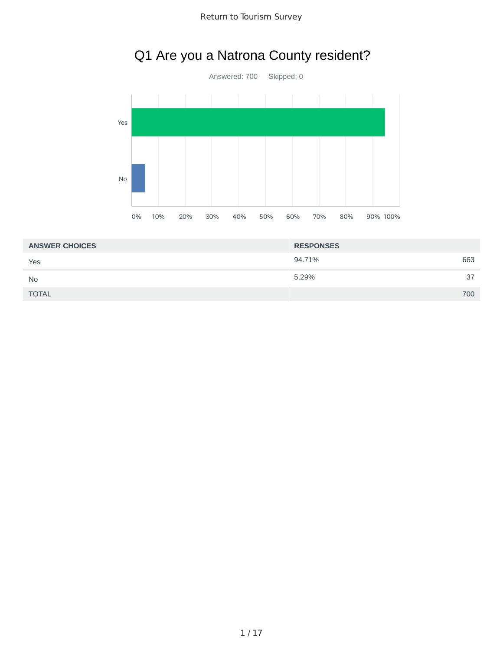## Q1 Are you a Natrona County resident?



| <b>ANSWER CHOICES</b> | <b>RESPONSES</b> |     |
|-----------------------|------------------|-----|
| Yes                   | 94.71%           | 663 |
| <b>No</b>             | 5.29%            | 37  |
| <b>TOTAL</b>          |                  | 700 |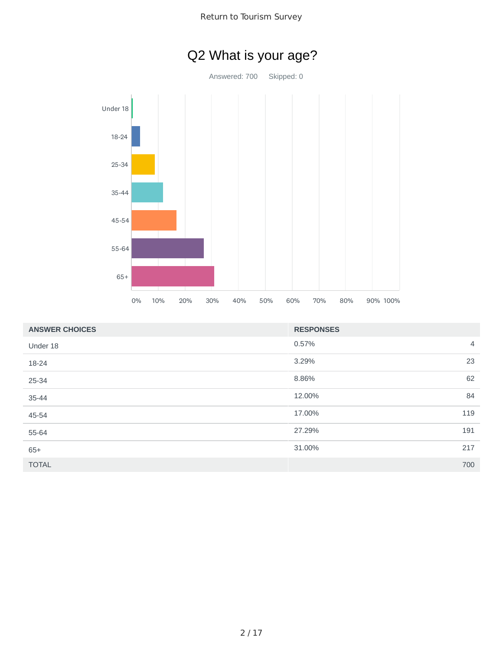



| <b>ANSWER CHOICES</b> | <b>RESPONSES</b> |                |
|-----------------------|------------------|----------------|
| Under 18              | 0.57%            | $\overline{4}$ |
| 18-24                 | 3.29%            | 23             |
| 25-34                 | 8.86%            | 62             |
| 35-44                 | 12.00%           | 84             |
| 45-54                 | 17.00%           | 119            |
| 55-64                 | 27.29%           | 191            |
| $65+$                 | 31.00%           | 217            |
| <b>TOTAL</b>          |                  | 700            |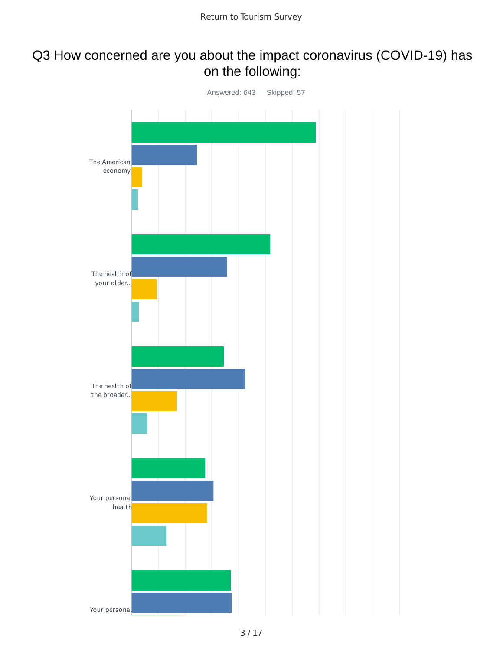### Q3 How concerned are you about the impact coronavirus (COVID-19) has on the following:

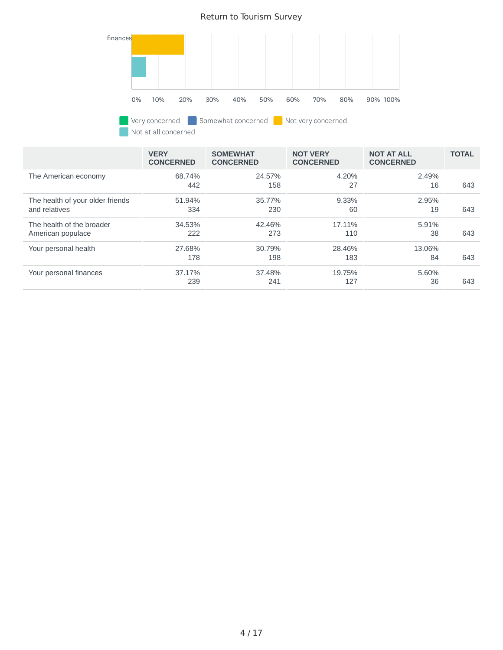

Very concerned Somewhat concerned Not very concerned Not at all concerned

|                                                   | <b>VERY</b><br><b>CONCERNED</b> | <b>SOMEWHAT</b><br><b>CONCERNED</b> | <b>NOT VERY</b><br><b>CONCERNED</b> | <b>NOT AT ALL</b><br><b>CONCERNED</b> | <b>TOTAL</b> |
|---------------------------------------------------|---------------------------------|-------------------------------------|-------------------------------------|---------------------------------------|--------------|
| The American economy                              | 68.74%<br>442                   | 24.57%<br>158                       | 4.20%<br>27                         | 2.49%<br>16                           | 643          |
| The health of your older friends<br>and relatives | 51.94%<br>334                   | 35.77%<br>230                       | 9.33%<br>60                         | 2.95%<br>19                           | 643          |
| The health of the broader<br>American populace    | 34.53%<br>222                   | 42.46%<br>273                       | 17.11%<br>110                       | 5.91%<br>38                           | 643          |
| Your personal health                              | 27.68%<br>178                   | 30.79%<br>198                       | 28.46%<br>183                       | 13.06%<br>84                          | 643          |
| Your personal finances                            | 37.17%<br>239                   | 37.48%<br>241                       | 19.75%<br>127                       | 5.60%<br>36                           | 643          |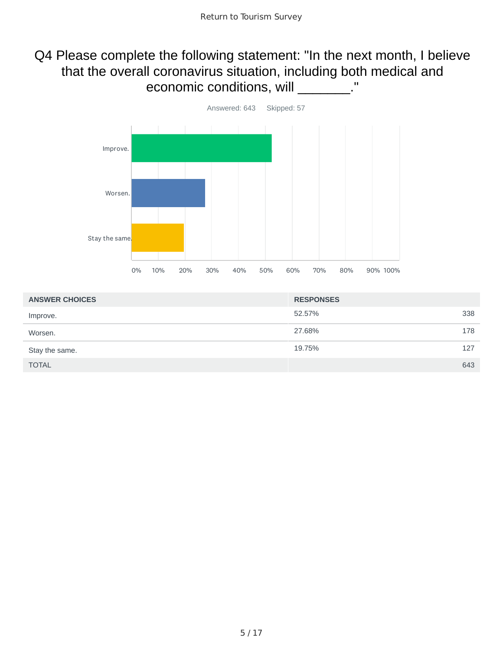### Q4 Please complete the following statement: "In the next month, I believe that the overall coronavirus situation, including both medical and economic conditions, will \_\_\_\_\_\_\_\_."



| <b>ANSWER CHOICES</b> | <b>RESPONSES</b> |     |
|-----------------------|------------------|-----|
| Improve.              | 52.57%           | 338 |
| Worsen.               | 27.68%           | 178 |
| Stay the same.        | 19.75%           | 127 |
| <b>TOTAL</b>          |                  | 643 |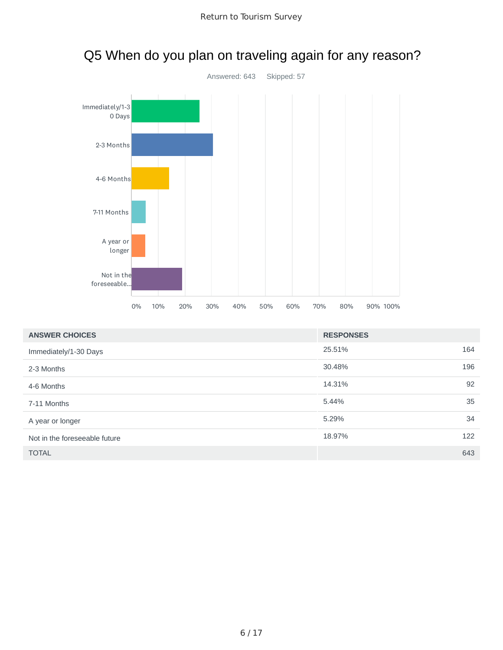

# Q5 When do you plan on traveling again for any reason?

| <b>ANSWER CHOICES</b>         | <b>RESPONSES</b> |     |
|-------------------------------|------------------|-----|
| Immediately/1-30 Days         | 25.51%           | 164 |
| 2-3 Months                    | 30.48%           | 196 |
| 4-6 Months                    | 14.31%           | 92  |
| 7-11 Months                   | 5.44%            | 35  |
| A year or longer              | 5.29%            | 34  |
| Not in the foreseeable future | 18.97%           | 122 |
| <b>TOTAL</b>                  |                  | 643 |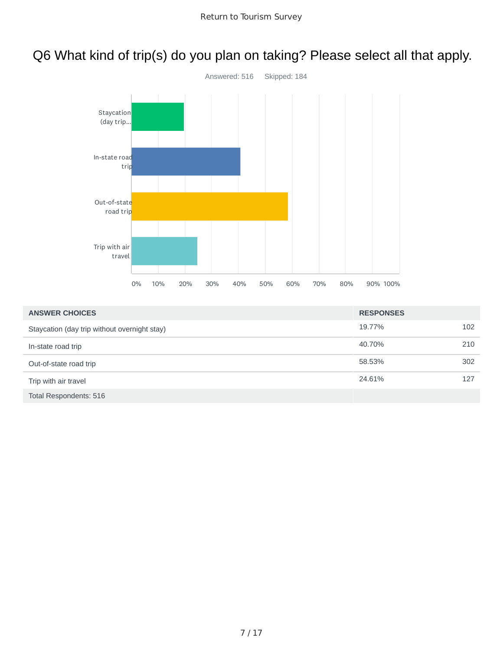### Q6 What kind of trip(s) do you plan on taking? Please select all that apply.



| <b>ANSWER CHOICES</b>                        | <b>RESPONSES</b> |     |
|----------------------------------------------|------------------|-----|
| Staycation (day trip without overnight stay) | 19.77%           | 102 |
| In-state road trip                           | 40.70%           | 210 |
| Out-of-state road trip                       | 58.53%           | 302 |
| Trip with air travel                         | 24.61%           | 127 |
| <b>Total Respondents: 516</b>                |                  |     |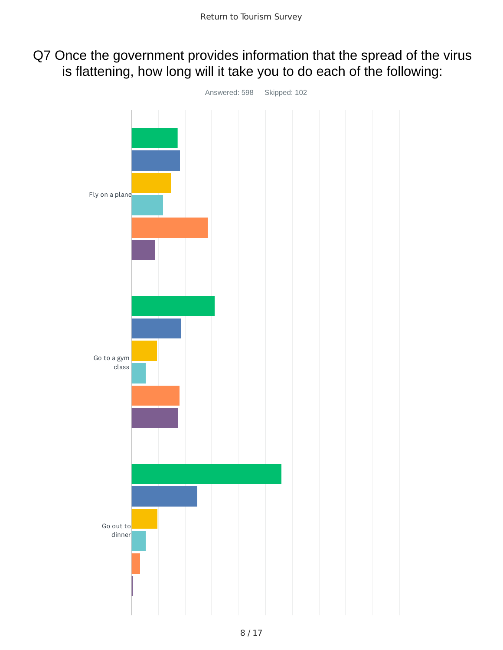### Q7 Once the government provides information that the spread of the virus is flattening, how long will it take you to do each of the following:

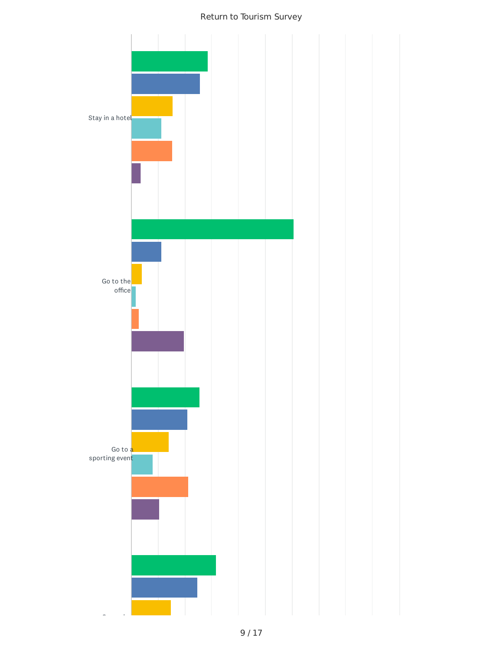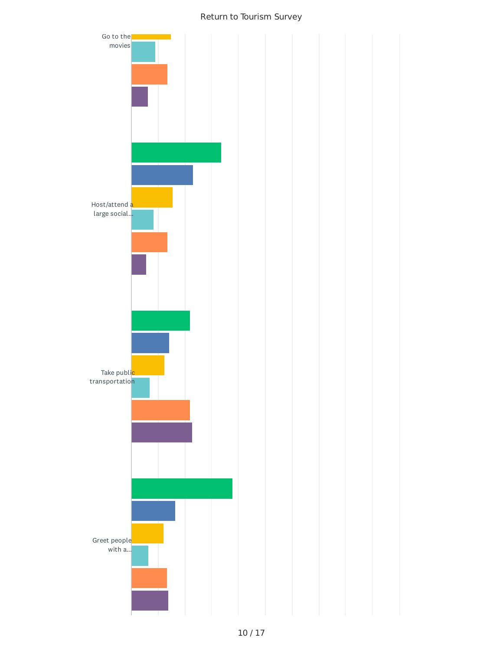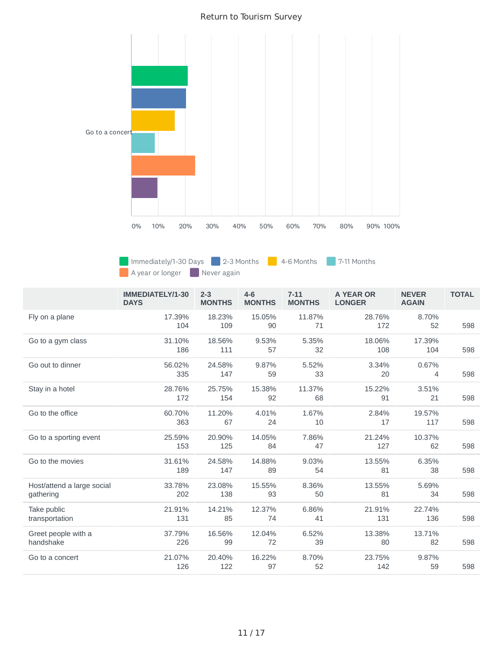

Immediately/1-30 Days 2-3 Months 4-6 Months 7-11 Months **A** year or longer **Never** again

|                                         | IMMEDIATELY/1-30<br><b>DAYS</b> | $2 - 3$<br><b>MONTHS</b> | $4-6$<br><b>MONTHS</b> | $7 - 11$<br><b>MONTHS</b> | A YEAR OR<br><b>LONGER</b> | <b>NEVER</b><br><b>AGAIN</b> | <b>TOTAL</b> |
|-----------------------------------------|---------------------------------|--------------------------|------------------------|---------------------------|----------------------------|------------------------------|--------------|
| Fly on a plane                          | 17.39%<br>104                   | 18.23%<br>109            | 15.05%<br>90           | 11.87%<br>71              | 28.76%<br>172              | 8.70%<br>52                  | 598          |
| Go to a gym class                       | 31.10%<br>186                   | 18.56%<br>111            | 9.53%<br>57            | 5.35%<br>32               | 18.06%<br>108              | 17.39%<br>104                | 598          |
| Go out to dinner                        | 56.02%<br>335                   | 24.58%<br>147            | 9.87%<br>59            | 5.52%<br>33               | 3.34%<br>20                | 0.67%<br>4                   | 598          |
| Stay in a hotel                         | 28.76%<br>172                   | 25.75%<br>154            | 15.38%<br>92           | 11.37%<br>68              | 15.22%<br>91               | 3.51%<br>21                  | 598          |
| Go to the office                        | 60.70%<br>363                   | 11.20%<br>67             | 4.01%<br>24            | 1.67%<br>10               | 2.84%<br>17                | 19.57%<br>117                | 598          |
| Go to a sporting event                  | 25.59%<br>153                   | 20.90%<br>125            | 14.05%<br>84           | 7.86%<br>47               | 21.24%<br>127              | 10.37%<br>62                 | 598          |
| Go to the movies                        | 31.61%<br>189                   | 24.58%<br>147            | 14.88%<br>89           | 9.03%<br>54               | 13.55%<br>81               | 6.35%<br>38                  | 598          |
| Host/attend a large social<br>gathering | 33.78%<br>202                   | 23.08%<br>138            | 15.55%<br>93           | 8.36%<br>50               | 13.55%<br>81               | 5.69%<br>34                  | 598          |
| Take public<br>transportation           | 21.91%<br>131                   | 14.21%<br>85             | 12.37%<br>74           | 6.86%<br>41               | 21.91%<br>131              | 22.74%<br>136                | 598          |
| Greet people with a<br>handshake        | 37.79%<br>226                   | 16.56%<br>99             | 12.04%<br>72           | 6.52%<br>39               | 13.38%<br>80               | 13.71%<br>82                 | 598          |
| Go to a concert                         | 21.07%<br>126                   | 20.40%<br>122            | 16.22%<br>97           | 8.70%<br>52               | 23.75%<br>142              | 9.87%<br>59                  | 598          |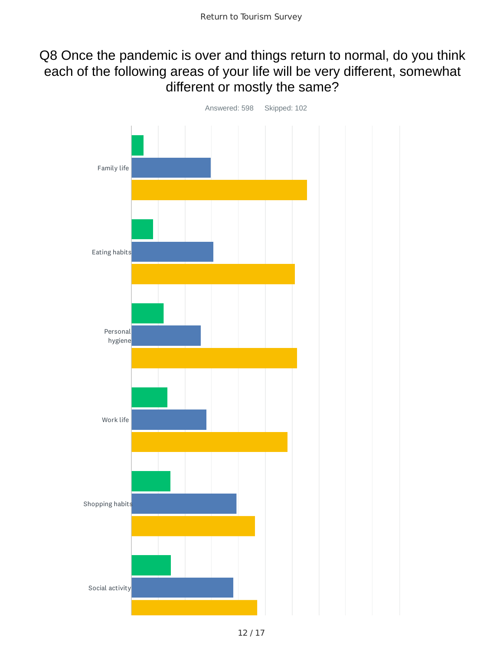### Q8 Once the pandemic is over and things return to normal, do you think each of the following areas of your life will be very different, somewhat different or mostly the same?

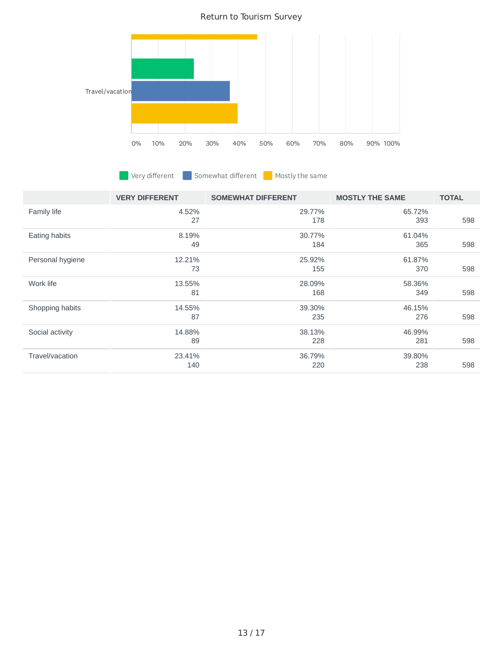

**Very different Somewhat different Mostly the same** 

|                  | <b>VERY DIFFERENT</b> | <b>SOMEWHAT DIFFERENT</b> | <b>MOSTLY THE SAME</b> | <b>TOTAL</b> |
|------------------|-----------------------|---------------------------|------------------------|--------------|
| Family life      | 4.52%<br>27           | 29.77%<br>178             | 65.72%<br>393          | 598          |
| Eating habits    | 8.19%<br>49           | 30.77%<br>184             | 61.04%<br>365          | 598          |
| Personal hygiene | 12.21%<br>73          | 25.92%<br>155             | 61.87%<br>370          | 598          |
| Work life        | 13.55%<br>81          | 28.09%<br>168             | 58.36%<br>349          | 598          |
| Shopping habits  | 14.55%<br>87          | 39.30%<br>235             | 46.15%<br>276          | 598          |
| Social activity  | 14.88%<br>89          | 38.13%<br>228             | 46.99%<br>281          | 598          |
| Travel/vacation  | 23.41%<br>140         | 36.79%<br>220             | 39.80%<br>238          | 598          |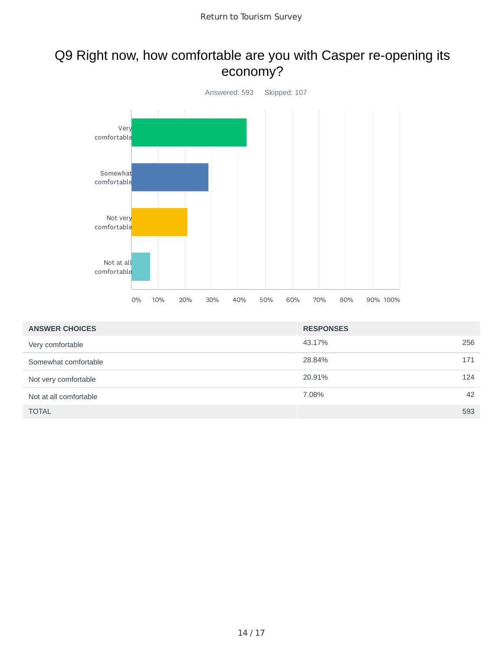### Q9 Right now, how comfortable are you with Casper re-opening its economy?



| <b>ANSWER CHOICES</b>  | <b>RESPONSES</b> |     |
|------------------------|------------------|-----|
| Very comfortable       | 43.17%           | 256 |
| Somewhat comfortable   | 28.84%           | 171 |
| Not very comfortable   | 20.91%           | 124 |
| Not at all comfortable | 7.08%            | 42  |
| <b>TOTAL</b>           |                  | 593 |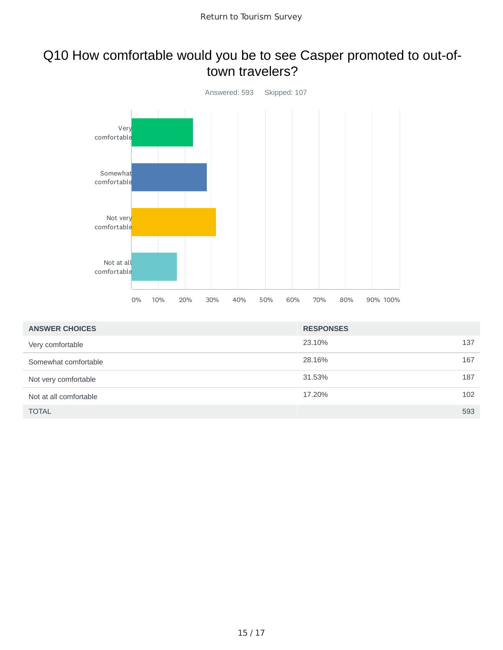### Q10 How comfortable would you be to see Casper promoted to out-oftown travelers?



| <b>ANSWER CHOICES</b>  | <b>RESPONSES</b> |     |
|------------------------|------------------|-----|
| Very comfortable       | 23.10%           | 137 |
| Somewhat comfortable   | 28.16%           | 167 |
| Not very comfortable   | 31.53%           | 187 |
| Not at all comfortable | 17.20%           | 102 |
| <b>TOTAL</b>           |                  | 593 |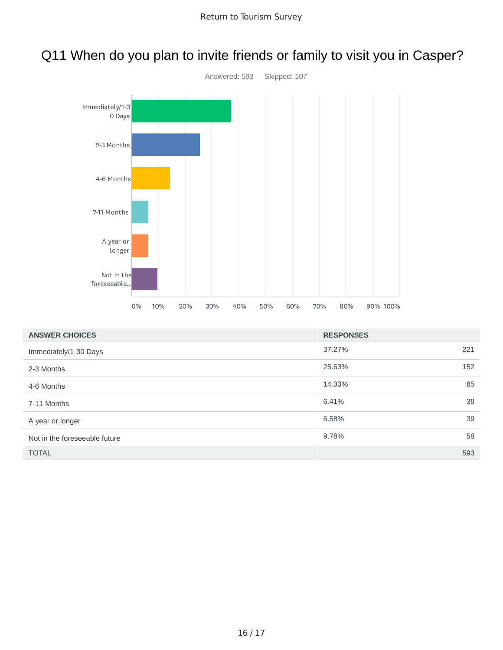### Q11 When do you plan to invite friends or family to visit you in Casper?



| <b>ANSWER CHOICES</b>         | <b>RESPONSES</b> |     |
|-------------------------------|------------------|-----|
| Immediately/1-30 Days         | 37.27%           | 221 |
| 2-3 Months                    | 25.63%           | 152 |
| 4-6 Months                    | 14.33%           | 85  |
| 7-11 Months                   | 6.41%            | 38  |
| A year or longer              | 6.58%            | 39  |
| Not in the foreseeable future | 9.78%            | 58  |
| <b>TOTAL</b>                  |                  | 593 |